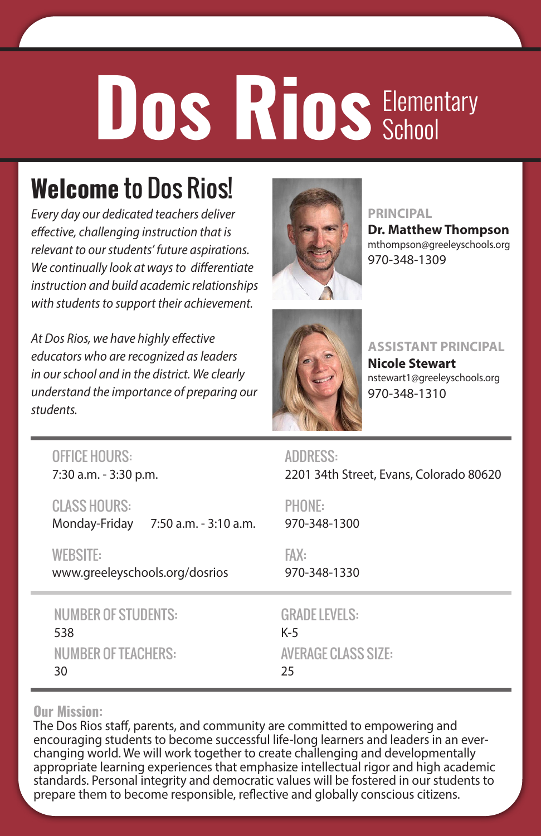# Dos Rios<sup>Elementary</sup> School

### **Welcome** to Dos Rios!

*Every day our dedicated teachers deliver effective, challenging instruction that is relevant to our students' future aspirations. We continually look at ways to differentiate instruction and build academic relationships with students to support their achievement.*

*At Dos Rios, we have highly effective educators who are recognized as leaders in our school and in the district. We clearly understand the importance of preparing our students.*



#### **PRINCIPAL**

**Dr. Matthew Thompson** mthompson@greeleyschools.org 970-348-1309



**ASSISTANT PRINCIPAL**

**Nicole Stewart** nstewart1@greeleyschools.org 970-348-1310

| <b>OFFICE HOURS:</b>                                          | <b>ADDRESS:</b>                         |
|---------------------------------------------------------------|-----------------------------------------|
| 7:30 a.m. - 3:30 p.m.                                         | 2201 34th Street, Evans, Colorado 80620 |
| <b>CLASS HOURS:</b><br>Monday-Friday<br>7:50 a.m. - 3:10 a.m. | PHONE:<br>970-348-1300                  |
| <b>WEBSITE:</b>                                               | FAX:                                    |
| www.greeleyschools.org/dosrios                                | 970-348-1330                            |
| <b>NUMBER OF STUDENTS:</b>                                    | <b>GRADE LEVELS:</b>                    |
| 538                                                           | $K-5$                                   |
| <b>NUMBER OF TEACHERS:</b>                                    | <b>AVERAGE CLASS SIZE:</b>              |
| 30                                                            | 25                                      |

#### **Our Mission:**

The Dos Rios staff, parents, and community are committed to empowering and encouraging students to become successful life-long learners and leaders in an everchanging world. We will work together to create challenging and developmentally appropriate learning experiences that emphasize intellectual rigor and high academic standards. Personal integrity and democratic values will be fostered in our students to prepare them to become responsible, reflective and globally conscious citizens.